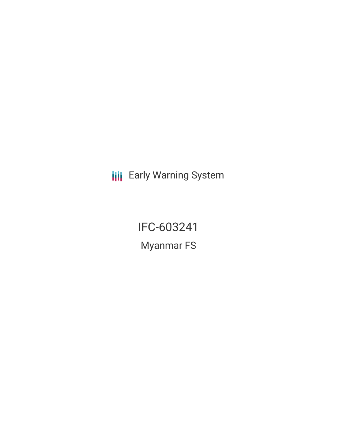**III** Early Warning System

IFC-603241 Myanmar FS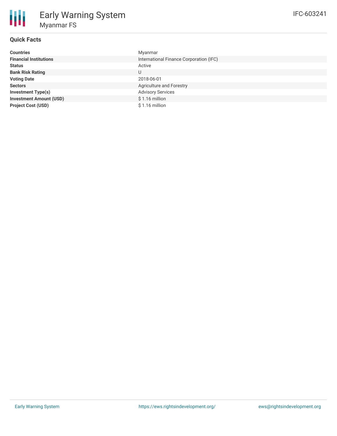| <b>Countries</b>               | Myanmar                                 |
|--------------------------------|-----------------------------------------|
| <b>Financial Institutions</b>  | International Finance Corporation (IFC) |
| <b>Status</b>                  | Active                                  |
| <b>Bank Risk Rating</b>        | U                                       |
| <b>Voting Date</b>             | 2018-06-01                              |
| <b>Sectors</b>                 | Agriculture and Forestry                |
| Investment Type(s)             | <b>Advisory Services</b>                |
| <b>Investment Amount (USD)</b> | $$1.16$ million                         |
| <b>Project Cost (USD)</b>      | $$1.16$ million                         |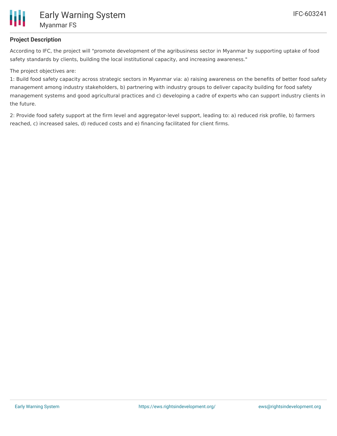

## **Project Description**

According to IFC, the project will "promote development of the agribusiness sector in Myanmar by supporting uptake of food safety standards by clients, building the local institutional capacity, and increasing awareness."

## The project objectives are:

1: Build food safety capacity across strategic sectors in Myanmar via: a) raising awareness on the benefits of better food safety management among industry stakeholders, b) partnering with industry groups to deliver capacity building for food safety management systems and good agricultural practices and c) developing a cadre of experts who can support industry clients in the future.

2: Provide food safety support at the firm level and aggregator-level support, leading to: a) reduced risk profile, b) farmers reached, c) increased sales, d) reduced costs and e) financing facilitated for client firms.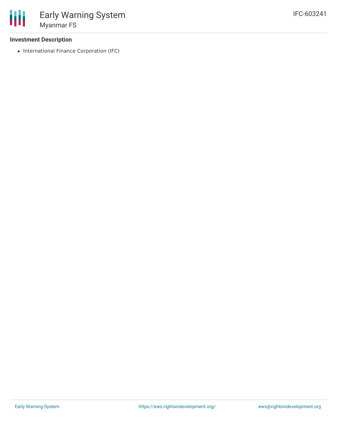## **Investment Description**

• International Finance Corporation (IFC)